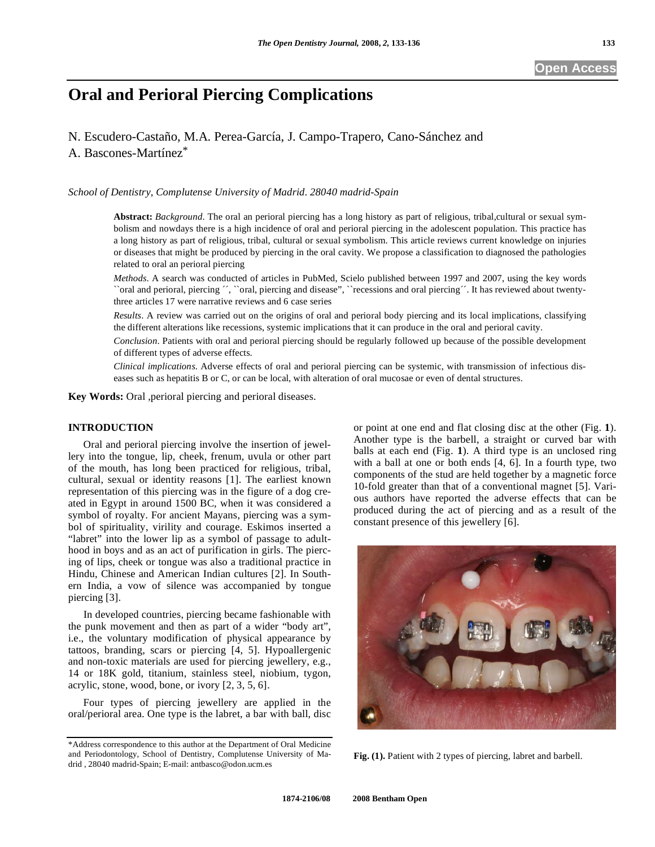# **Oral and Perioral Piercing Complications**

N. Escudero-Castaño, M.A. Perea-García, J. Campo-Trapero, Cano-Sánchez and A. Bascones-Martínez\*

*School of Dentistry, Complutense University of Madrid. 28040 madrid-Spain* 

**Abstract:** *Background*. The oral an perioral piercing has a long history as part of religious, tribal,cultural or sexual symbolism and nowdays there is a high incidence of oral and perioral piercing in the adolescent population. This practice has a long history as part of religious, tribal, cultural or sexual symbolism. This article reviews current knowledge on injuries or diseases that might be produced by piercing in the oral cavity. We propose a classification to diagnosed the pathologies related to oral an perioral piercing

*Methods*. A search was conducted of articles in PubMed, Scielo published between 1997 and 2007, using the key words ``oral and perioral, piercing ´´, ``oral, piercing and disease", ``recessions and oral piercing´´. It has reviewed about twentythree articles 17 were narrative reviews and 6 case series

*Results*. A review was carried out on the origins of oral and perioral body piercing and its local implications, classifying the different alterations like recessions, systemic implications that it can produce in the oral and perioral cavity.

*Conclusion*. Patients with oral and perioral piercing should be regularly followed up because of the possible development of different types of adverse effects.

*Clinical implications*. Adverse effects of oral and perioral piercing can be systemic, with transmission of infectious diseases such as hepatitis B or C, or can be local, with alteration of oral mucosae or even of dental structures.

**Key Words:** Oral ,perioral piercing and perioral diseases.

## **INTRODUCTION**

 Oral and perioral piercing involve the insertion of jewellery into the tongue, lip, cheek, frenum, uvula or other part of the mouth, has long been practiced for religious, tribal, cultural, sexual or identity reasons [1]. The earliest known representation of this piercing was in the figure of a dog created in Egypt in around 1500 BC, when it was considered a symbol of royalty. For ancient Mayans, piercing was a symbol of spirituality, virility and courage. Eskimos inserted a "labret" into the lower lip as a symbol of passage to adulthood in boys and as an act of purification in girls. The piercing of lips, cheek or tongue was also a traditional practice in Hindu, Chinese and American Indian cultures [2]. In Southern India, a vow of silence was accompanied by tongue piercing [3].

 In developed countries, piercing became fashionable with the punk movement and then as part of a wider "body art", i.e., the voluntary modification of physical appearance by tattoos, branding, scars or piercing [4, 5]. Hypoallergenic and non-toxic materials are used for piercing jewellery, e.g., 14 or 18K gold, titanium, stainless steel, niobium, tygon, acrylic, stone, wood, bone, or ivory [2, 3, 5, 6].

 Four types of piercing jewellery are applied in the oral/perioral area. One type is the labret, a bar with ball, disc

or point at one end and flat closing disc at the other (Fig. **1**). Another type is the barbell, a straight or curved bar with balls at each end (Fig. **1**). A third type is an unclosed ring with a ball at one or both ends [4, 6]. In a fourth type, two components of the stud are held together by a magnetic force 10-fold greater than that of a conventional magnet [5]. Various authors have reported the adverse effects that can be produced during the act of piercing and as a result of the constant presence of this jewellery [6].



**Fig. (1).** Patient with 2 types of piercing, labret and barbell.

<sup>\*</sup>Address correspondence to this author at the Department of Oral Medicine and Periodontology, School of Dentistry, Complutense University of Madrid , 28040 madrid-Spain; E-mail: antbasco@odon.ucm.es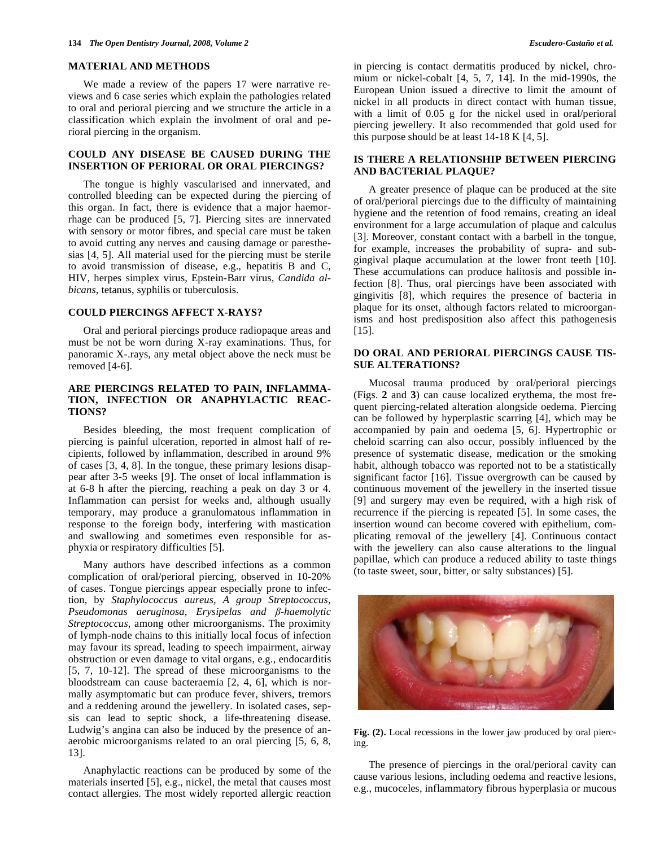### **MATERIAL AND METHODS**

 We made a review of the papers 17 were narrative reviews and 6 case series which explain the pathologies related to oral and perioral piercing and we structure the article in a classification which explain the involment of oral and perioral piercing in the organism.

# **COULD ANY DISEASE BE CAUSED DURING THE INSERTION OF PERIORAL OR ORAL PIERCINGS?**

 The tongue is highly vascularised and innervated, and controlled bleeding can be expected during the piercing of this organ. In fact, there is evidence that a major haemorrhage can be produced [5, 7]. Piercing sites are innervated with sensory or motor fibres, and special care must be taken to avoid cutting any nerves and causing damage or paresthesias [4, 5]. All material used for the piercing must be sterile to avoid transmission of disease, e.g., hepatitis B and C, HIV, herpes simplex virus, Epstein-Barr virus, *Candida albicans*, tetanus, syphilis or tuberculosis.

# **COULD PIERCINGS AFFECT X-RAYS?**

 Oral and perioral piercings produce radiopaque areas and must be not be worn during X-ray examinations. Thus, for panoramic X-.rays, any metal object above the neck must be removed [4-6].

# **ARE PIERCINGS RELATED TO PAIN, INFLAMMA-TION, INFECTION OR ANAPHYLACTIC REAC-TIONS?**

 Besides bleeding, the most frequent complication of piercing is painful ulceration, reported in almost half of recipients, followed by inflammation, described in around 9% of cases [3, 4, 8]. In the tongue, these primary lesions disappear after 3-5 weeks [9]. The onset of local inflammation is at 6-8 h after the piercing, reaching a peak on day 3 or 4. Inflammation can persist for weeks and, although usually temporary, may produce a granulomatous inflammation in response to the foreign body, interfering with mastication and swallowing and sometimes even responsible for asphyxia or respiratory difficulties [5].

 Many authors have described infections as a common complication of oral/perioral piercing, observed in 10-20% of cases. Tongue piercings appear especially prone to infection, by *Staphylococcus aureus, A group Streptococcus, Pseudomonas aeruginosa, Erysipelas and*  $\beta$ *-haemolytic Streptococcus*, among other microorganisms. The proximity of lymph-node chains to this initially local focus of infection may favour its spread, leading to speech impairment, airway obstruction or even damage to vital organs, e.g., endocarditis [5, 7, 10-12]. The spread of these microorganisms to the bloodstream can cause bacteraemia [2, 4, 6], which is normally asymptomatic but can produce fever, shivers, tremors and a reddening around the jewellery. In isolated cases, sepsis can lead to septic shock, a life-threatening disease. Ludwig's angina can also be induced by the presence of anaerobic microorganisms related to an oral piercing [5, 6, 8, 13].

 Anaphylactic reactions can be produced by some of the materials inserted [5], e.g., nickel, the metal that causes most contact allergies. The most widely reported allergic reaction in piercing is contact dermatitis produced by nickel, chromium or nickel-cobalt [4, 5, 7, 14]. In the mid-1990s, the European Union issued a directive to limit the amount of nickel in all products in direct contact with human tissue, with a limit of 0.05 g for the nickel used in oral/perioral piercing jewellery. It also recommended that gold used for this purpose should be at least 14-18 K [4, 5].

## **IS THERE A RELATIONSHIP BETWEEN PIERCING AND BACTERIAL PLAQUE?**

 A greater presence of plaque can be produced at the site of oral/perioral piercings due to the difficulty of maintaining hygiene and the retention of food remains, creating an ideal environment for a large accumulation of plaque and calculus [3]. Moreover, constant contact with a barbell in the tongue, for example, increases the probability of supra- and subgingival plaque accumulation at the lower front teeth [10]. These accumulations can produce halitosis and possible infection [8]. Thus, oral piercings have been associated with gingivitis [8], which requires the presence of bacteria in plaque for its onset, although factors related to microorganisms and host predisposition also affect this pathogenesis [15].

# **DO ORAL AND PERIORAL PIERCINGS CAUSE TIS-SUE ALTERATIONS?**

 Mucosal trauma produced by oral/perioral piercings (Figs. **2** and **3**) can cause localized erythema, the most frequent piercing-related alteration alongside oedema. Piercing can be followed by hyperplastic scarring [4], which may be accompanied by pain and oedema [5, 6]. Hypertrophic or cheloid scarring can also occur, possibly influenced by the presence of systematic disease, medication or the smoking habit, although tobacco was reported not to be a statistically significant factor [16]. Tissue overgrowth can be caused by continuous movement of the jewellery in the inserted tissue [9] and surgery may even be required, with a high risk of recurrence if the piercing is repeated [5]. In some cases, the insertion wound can become covered with epithelium, complicating removal of the jewellery [4]. Continuous contact with the jewellery can also cause alterations to the lingual papillae, which can produce a reduced ability to taste things (to taste sweet, sour, bitter, or salty substances) [5].



**Fig. (2).** Local recessions in the lower jaw produced by oral piercing.

 The presence of piercings in the oral/perioral cavity can cause various lesions, including oedema and reactive lesions, e.g., mucoceles, inflammatory fibrous hyperplasia or mucous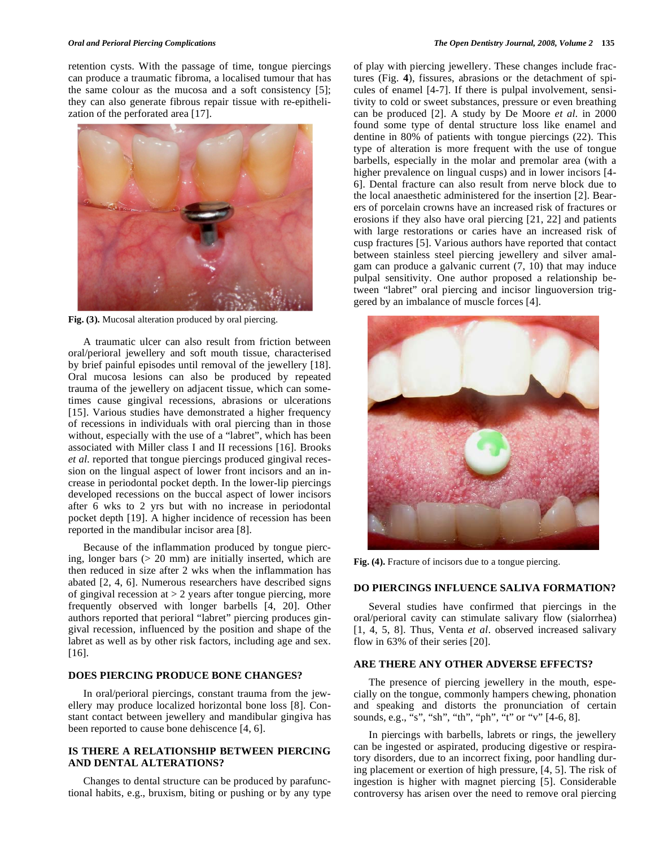retention cysts. With the passage of time, tongue piercings can produce a traumatic fibroma, a localised tumour that has the same colour as the mucosa and a soft consistency [5]; they can also generate fibrous repair tissue with re-epithelization of the perforated area [17].



**Fig. (3).** Mucosal alteration produced by oral piercing.

 A traumatic ulcer can also result from friction between oral/perioral jewellery and soft mouth tissue, characterised by brief painful episodes until removal of the jewellery [18]. Oral mucosa lesions can also be produced by repeated trauma of the jewellery on adjacent tissue, which can sometimes cause gingival recessions, abrasions or ulcerations [15]. Various studies have demonstrated a higher frequency of recessions in individuals with oral piercing than in those without, especially with the use of a "labret", which has been associated with Miller class I and II recessions [16]. Brooks *et al*. reported that tongue piercings produced gingival recession on the lingual aspect of lower front incisors and an increase in periodontal pocket depth. In the lower-lip piercings developed recessions on the buccal aspect of lower incisors after 6 wks to 2 yrs but with no increase in periodontal pocket depth [19]. A higher incidence of recession has been reported in the mandibular incisor area [8].

 Because of the inflammation produced by tongue piercing, longer bars  $(> 20 \text{ mm})$  are initially inserted, which are then reduced in size after 2 wks when the inflammation has abated [2, 4, 6]. Numerous researchers have described signs of gingival recession at > 2 years after tongue piercing, more frequently observed with longer barbells [4, 20]. Other authors reported that perioral "labret" piercing produces gingival recession, influenced by the position and shape of the labret as well as by other risk factors, including age and sex. [16].

### **DOES PIERCING PRODUCE BONE CHANGES?**

 In oral/perioral piercings, constant trauma from the jewellery may produce localized horizontal bone loss [8]. Constant contact between jewellery and mandibular gingiva has been reported to cause bone dehiscence [4, 6].

### **IS THERE A RELATIONSHIP BETWEEN PIERCING AND DENTAL ALTERATIONS?**

 Changes to dental structure can be produced by parafunctional habits, e.g., bruxism, biting or pushing or by any type of play with piercing jewellery. These changes include fractures (Fig. **4**), fissures, abrasions or the detachment of spicules of enamel [4-7]. If there is pulpal involvement, sensitivity to cold or sweet substances, pressure or even breathing can be produced [2]. A study by De Moore *et al*. in 2000 found some type of dental structure loss like enamel and dentine in 80% of patients with tongue piercings (22). This type of alteration is more frequent with the use of tongue barbells, especially in the molar and premolar area (with a higher prevalence on lingual cusps) and in lower incisors [4-6]. Dental fracture can also result from nerve block due to the local anaesthetic administered for the insertion [2]. Bearers of porcelain crowns have an increased risk of fractures or erosions if they also have oral piercing [21, 22] and patients with large restorations or caries have an increased risk of cusp fractures [5]. Various authors have reported that contact between stainless steel piercing jewellery and silver amalgam can produce a galvanic current (7, 10) that may induce pulpal sensitivity. One author proposed a relationship between "labret" oral piercing and incisor linguoversion triggered by an imbalance of muscle forces [4].



**Fig. (4).** Fracture of incisors due to a tongue piercing.

# **DO PIERCINGS INFLUENCE SALIVA FORMATION?**

 Several studies have confirmed that piercings in the oral/perioral cavity can stimulate salivary flow (sialorrhea) [1, 4, 5, 8]. Thus, Venta *et al*. observed increased salivary flow in 63% of their series [20].

### **ARE THERE ANY OTHER ADVERSE EFFECTS?**

 The presence of piercing jewellery in the mouth, especially on the tongue, commonly hampers chewing, phonation and speaking and distorts the pronunciation of certain sounds, e.g., "s", "sh", "th", "ph", "t" or "v" [4-6, 8].

 In piercings with barbells, labrets or rings, the jewellery can be ingested or aspirated, producing digestive or respiratory disorders, due to an incorrect fixing, poor handling during placement or exertion of high pressure, [4, 5]. The risk of ingestion is higher with magnet piercing [5]. Considerable controversy has arisen over the need to remove oral piercing